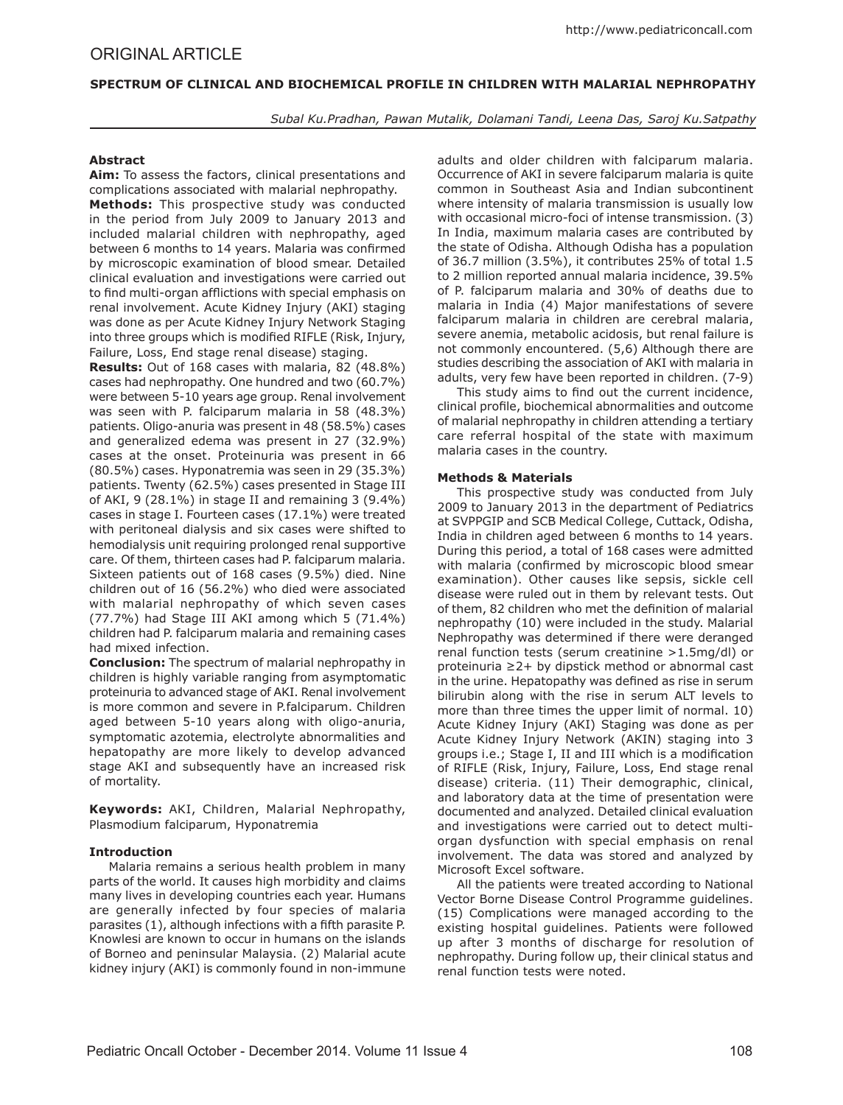### **SPECTRUM OF CLINICAL AND BIOCHEMICAL PROFILE IN CHILDREN WITH MALARIAL NEPHROPATHY**

*Subal Ku.Pradhan, Pawan Mutalik, Dolamani Tandi, Leena Das, Saroj Ku.Satpathy*

## **Abstract**

**Aim:** To assess the factors, clinical presentations and complications associated with malarial nephropathy.

**Methods:** This prospective study was conducted in the period from July 2009 to January 2013 and included malarial children with nephropathy, aged between 6 months to 14 years. Malaria was confirmed by microscopic examination of blood smear. Detailed clinical evaluation and investigations were carried out to find multi-organ afflictions with special emphasis on renal involvement. Acute Kidney Injury (AKI) staging was done as per Acute Kidney Injury Network Staging into three groups which is modified RIFLE (Risk, Injury, Failure, Loss, End stage renal disease) staging.

**Results:** Out of 168 cases with malaria, 82 (48.8%) cases had nephropathy. One hundred and two (60.7%) were between 5-10 years age group. Renal involvement was seen with P. falciparum malaria in 58 (48.3%) patients. Oligo-anuria was present in 48 (58.5%) cases and generalized edema was present in 27 (32.9%) cases at the onset. Proteinuria was present in 66 (80.5%) cases. Hyponatremia was seen in 29 (35.3%) patients. Twenty (62.5%) cases presented in Stage III of AKI, 9 (28.1%) in stage II and remaining 3 (9.4%) cases in stage I. Fourteen cases (17.1%) were treated with peritoneal dialysis and six cases were shifted to hemodialysis unit requiring prolonged renal supportive care. Of them, thirteen cases had P. falciparum malaria. Sixteen patients out of 168 cases (9.5%) died. Nine children out of 16 (56.2%) who died were associated with malarial nephropathy of which seven cases (77.7%) had Stage III AKI among which 5 (71.4%) children had P. falciparum malaria and remaining cases had mixed infection.

**Conclusion:** The spectrum of malarial nephropathy in children is highly variable ranging from asymptomatic proteinuria to advanced stage of AKI. Renal involvement is more common and severe in P.falciparum. Children aged between 5-10 years along with oligo-anuria, symptomatic azotemia, electrolyte abnormalities and hepatopathy are more likely to develop advanced stage AKI and subsequently have an increased risk of mortality.

**Keywords:** AKI, Children, Malarial Nephropathy, Plasmodium falciparum, Hyponatremia

### **Introduction**

Malaria remains a serious health problem in many parts of the world. It causes high morbidity and claims many lives in developing countries each year. Humans are generally infected by four species of malaria parasites (1), although infections with a fifth parasite P. Knowlesi are known to occur in humans on the islands of Borneo and peninsular Malaysia. (2) Malarial acute kidney injury (AKI) is commonly found in non-immune

adults and older children with falciparum malaria. Occurrence of AKI in severe falciparum malaria is quite common in Southeast Asia and Indian subcontinent where intensity of malaria transmission is usually low with occasional micro-foci of intense transmission. (3) In India, maximum malaria cases are contributed by the state of Odisha. Although Odisha has a population of 36.7 million (3.5%), it contributes 25% of total 1.5 to 2 million reported annual malaria incidence, 39.5% of P. falciparum malaria and 30% of deaths due to malaria in India (4) Major manifestations of severe falciparum malaria in children are cerebral malaria, severe anemia, metabolic acidosis, but renal failure is not commonly encountered. (5,6) Although there are studies describing the association of AKI with malaria in adults, very few have been reported in children. (7-9)

This study aims to find out the current incidence, clinical profile, biochemical abnormalities and outcome of malarial nephropathy in children attending a tertiary care referral hospital of the state with maximum malaria cases in the country.

### **Methods & Materials**

This prospective study was conducted from July 2009 to January 2013 in the department of Pediatrics at SVPPGIP and SCB Medical College, Cuttack, Odisha, India in children aged between 6 months to 14 years. During this period, a total of 168 cases were admitted with malaria (confirmed by microscopic blood smear examination). Other causes like sepsis, sickle cell disease were ruled out in them by relevant tests. Out of them, 82 children who met the definition of malarial nephropathy (10) were included in the study. Malarial Nephropathy was determined if there were deranged renal function tests (serum creatinine >1.5mg/dl) or proteinuria ≥2+ by dipstick method or abnormal cast in the urine. Hepatopathy was defined as rise in serum bilirubin along with the rise in serum ALT levels to more than three times the upper limit of normal. 10) Acute Kidney Injury (AKI) Staging was done as per Acute Kidney Injury Network (AKIN) staging into 3 groups i.e.; Stage I, II and III which is a modification of RIFLE (Risk, Injury, Failure, Loss, End stage renal disease) criteria. (11) Their demographic, clinical, and laboratory data at the time of presentation were documented and analyzed. Detailed clinical evaluation and investigations were carried out to detect multiorgan dysfunction with special emphasis on renal involvement. The data was stored and analyzed by Microsoft Excel software.

All the patients were treated according to National Vector Borne Disease Control Programme guidelines. (15) Complications were managed according to the existing hospital guidelines. Patients were followed up after 3 months of discharge for resolution of nephropathy. During follow up, their clinical status and renal function tests were noted.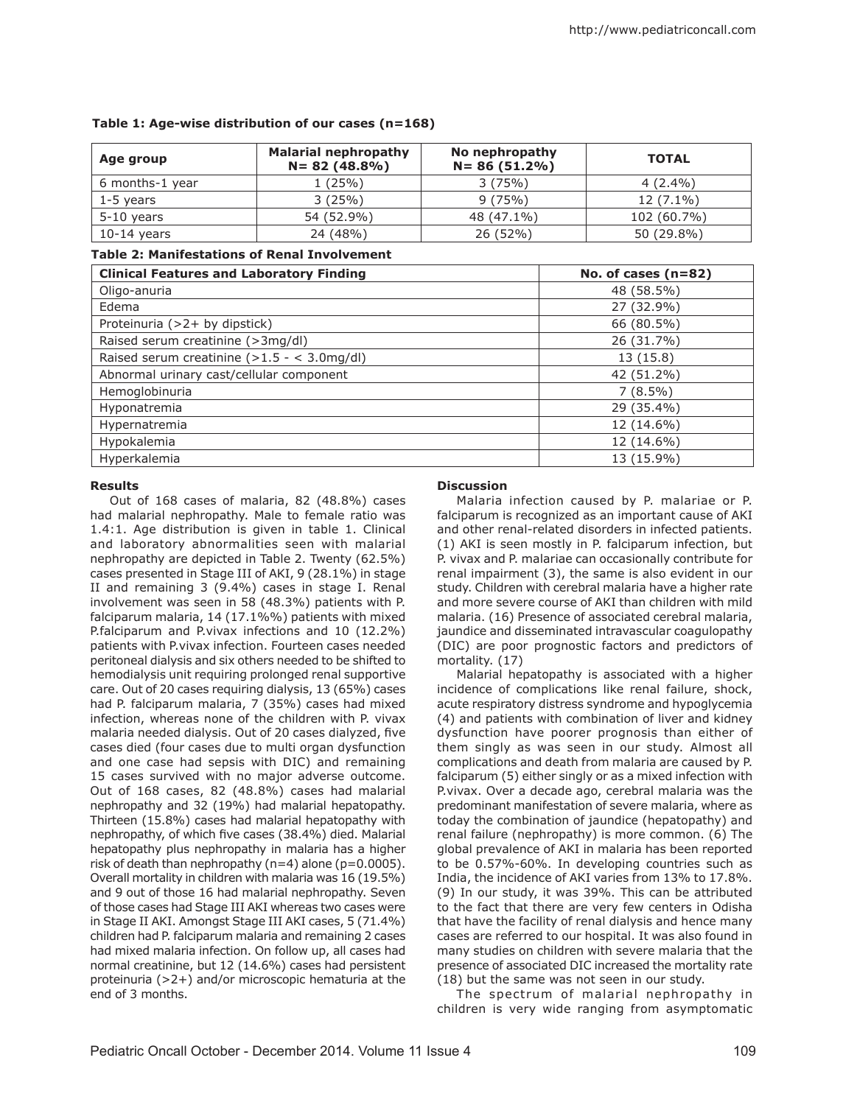| Age group       | <b>Malarial nephropathy</b><br>$N = 82(48.8\%)$ | No nephropathy<br>$N = 86(51.2\%)$ | <b>TOTAL</b> |
|-----------------|-------------------------------------------------|------------------------------------|--------------|
| 6 months-1 year | 1 (25%)                                         | 3(75%)                             | $4(2.4\%)$   |
| 1-5 years       | 3(25%)                                          | 9(75%)                             | $12(7.1\%)$  |
| $5-10$ years    | 54 (52.9%)                                      | 48 (47.1%)                         | 102 (60.7%)  |
| $10-14$ years   | 24 (48%)                                        | 26 (52%)                           | 50 (29.8%)   |

## **Table 1: Age-wise distribution of our cases (n=168)**

## **Table 2: Manifestations of Renal Involvement**

| <b>Clinical Features and Laboratory Finding</b>       | No. of cases $(n=82)$ |
|-------------------------------------------------------|-----------------------|
| Oligo-anuria                                          | 48 (58.5%)            |
| Edema                                                 | 27 (32.9%)            |
| Proteinuria (>2+ by dipstick)                         | 66 (80.5%)            |
| Raised serum creatinine (>3mg/dl)                     | 26 (31.7%)            |
| Raised serum creatinine $(>1.5 - < 3.0 \text{mg/dl})$ | 13 (15.8)             |
| Abnormal urinary cast/cellular component              | 42 (51.2%)            |
| Hemoglobinuria                                        | $7(8.5\%)$            |
| Hyponatremia                                          | 29 (35.4%)            |
| Hypernatremia                                         | 12 (14.6%)            |
| Hypokalemia                                           | 12 (14.6%)            |
| Hyperkalemia                                          | 13 (15.9%)            |

# **Results**

Out of 168 cases of malaria, 82 (48.8%) cases had malarial nephropathy. Male to female ratio was 1.4:1. Age distribution is given in table 1. Clinical and laboratory abnormalities seen with malarial nephropathy are depicted in Table 2. Twenty (62.5%) cases presented in Stage III of AKI, 9 (28.1%) in stage II and remaining 3 (9.4%) cases in stage I. Renal involvement was seen in 58 (48.3%) patients with P. falciparum malaria, 14 (17.1%%) patients with mixed P.falciparum and P.vivax infections and 10 (12.2%) patients with P.vivax infection. Fourteen cases needed peritoneal dialysis and six others needed to be shifted to hemodialysis unit requiring prolonged renal supportive care. Out of 20 cases requiring dialysis, 13 (65%) cases had P. falciparum malaria, 7 (35%) cases had mixed infection, whereas none of the children with P. vivax malaria needed dialysis. Out of 20 cases dialyzed, five cases died (four cases due to multi organ dysfunction and one case had sepsis with DIC) and remaining 15 cases survived with no major adverse outcome. Out of 168 cases, 82 (48.8%) cases had malarial nephropathy and 32 (19%) had malarial hepatopathy. Thirteen (15.8%) cases had malarial hepatopathy with nephropathy, of which five cases (38.4%) died. Malarial hepatopathy plus nephropathy in malaria has a higher risk of death than nephropathy (n=4) alone (p=0.0005). Overall mortality in children with malaria was 16 (19.5%) and 9 out of those 16 had malarial nephropathy. Seven of those cases had Stage III AKI whereas two cases were in Stage II AKI. Amongst Stage III AKI cases, 5 (71.4%) children had P. falciparum malaria and remaining 2 cases had mixed malaria infection. On follow up, all cases had normal creatinine, but 12 (14.6%) cases had persistent proteinuria (>2+) and/or microscopic hematuria at the end of 3 months.

## **Discussion**

Malaria infection caused by P. malariae or P. falciparum is recognized as an important cause of AKI and other renal-related disorders in infected patients. (1) AKI is seen mostly in P. falciparum infection, but P. vivax and P. malariae can occasionally contribute for renal impairment (3), the same is also evident in our study. Children with cerebral malaria have a higher rate and more severe course of AKI than children with mild malaria. (16) Presence of associated cerebral malaria, jaundice and disseminated intravascular coagulopathy (DIC) are poor prognostic factors and predictors of mortality. (17)

Malarial hepatopathy is associated with a higher incidence of complications like renal failure, shock, acute respiratory distress syndrome and hypoglycemia (4) and patients with combination of liver and kidney dysfunction have poorer prognosis than either of them singly as was seen in our study. Almost all complications and death from malaria are caused by P. falciparum (5) either singly or as a mixed infection with P.vivax. Over a decade ago, cerebral malaria was the predominant manifestation of severe malaria, where as today the combination of jaundice (hepatopathy) and renal failure (nephropathy) is more common. (6) The global prevalence of AKI in malaria has been reported to be 0.57%-60%. In developing countries such as India, the incidence of AKI varies from 13% to 17.8%. (9) In our study, it was 39%. This can be attributed to the fact that there are very few centers in Odisha that have the facility of renal dialysis and hence many cases are referred to our hospital. It was also found in many studies on children with severe malaria that the presence of associated DIC increased the mortality rate (18) but the same was not seen in our study.

The spectrum of malarial nephropathy in children is very wide ranging from asymptomatic